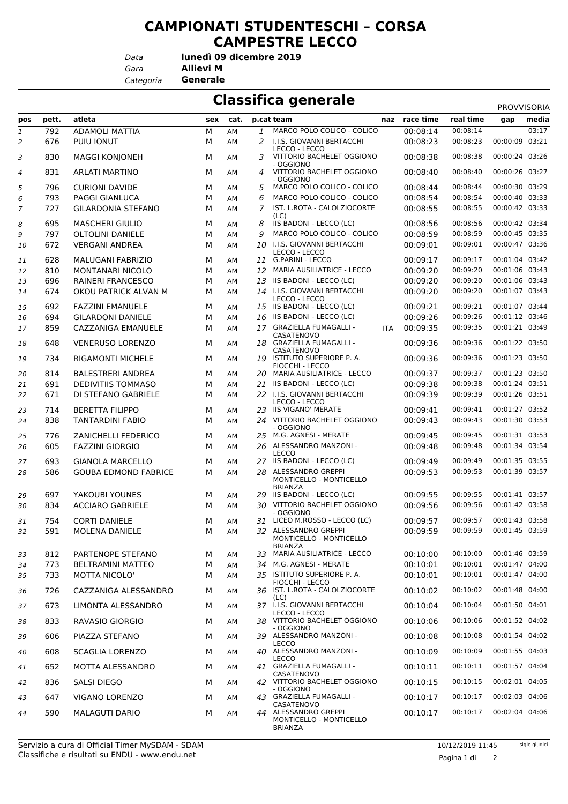## **CAMPIONATI STUDENTESCHI – CORSA CAMPESTRE LECCO**

*Data*

*Gara* **Allievi M lunedì 09 dicembre 2019**

*Categoria* **Generale**

**Classifica generale** 

|              |       |                             | .<br>Э |      |    |                                                                   |            |           |           | <b>PROVVISORIA</b> |       |
|--------------|-------|-----------------------------|--------|------|----|-------------------------------------------------------------------|------------|-----------|-----------|--------------------|-------|
| pos          | pett. | atleta                      | sex    | cat. |    | p.cat team                                                        | naz        | race time | real time | gap                | media |
| $\mathbf{1}$ | 792   | <b>ADAMOLI MATTIA</b>       | M      | AM   | 1  | MARCO POLO COLICO - COLICO                                        |            | 00:08:14  | 00:08:14  |                    | 03:17 |
| 2            | 676   | PUIU IONUT                  | М      | AM   | 2  | I.I.S. GIOVANNI BERTACCHI<br>LECCO - LECCO                        |            | 00:08:23  | 00:08:23  | 00:00:09           | 03:21 |
| 3            | 830   | <b>MAGGI KONJONEH</b>       | М      | AM   | 3  | VITTORIO BACHELET OGGIONO<br>- OGGIONO                            |            | 00:08:38  | 00:08:38  | 00:00:24 03:26     |       |
| 4            | 831   | <b>ARLATI MARTINO</b>       | м      | AM   | 4  | VITTORIO BACHELET OGGIONO<br>- OGGIONO                            |            | 00:08:40  | 00:08:40  | 00:00:26 03:27     |       |
| 5            | 796   | <b>CURIONI DAVIDE</b>       | М      | AM   | 5  | MARCO POLO COLICO - COLICO                                        |            | 00:08:44  | 00:08:44  | 00:00:30 03:29     |       |
| 6            | 793   | <b>PAGGI GIANLUCA</b>       | М      | AM   | 6  | MARCO POLO COLICO - COLICO                                        |            | 00:08:54  | 00:08:54  | 00:00:40 03:33     |       |
| 7            | 727   | <b>GILARDONIA STEFANO</b>   | М      | AM   | 7  | IST. L.ROTA - CALOLZIOCORTE<br>(LC)                               |            | 00:08:55  | 00:08:55  | 00:00:42 03:33     |       |
| 8            | 695   | <b>MASCHERI GIULIO</b>      | М      | AM   | 8  | IIS BADONI - LECCO (LC)                                           |            | 00:08:56  | 00:08:56  | 00:00:42 03:34     |       |
| 9            | 797   | <b>OLTOLINI DANIELE</b>     | М      | AM   | 9  | MARCO POLO COLICO - COLICO                                        |            | 00:08:59  | 00:08:59  | 00:00:45 03:35     |       |
| 10           | 672   | <b>VERGANI ANDREA</b>       | М      | AM   | 10 | I.I.S. GIOVANNI BERTACCHI<br>LECCO - LECCO                        |            | 00:09:01  | 00:09:01  | 00:00:47 03:36     |       |
| 11           | 628   | <b>MALUGANI FABRIZIO</b>    | М      | AM   | 11 | <b>G.PARINI - LECCO</b>                                           |            | 00:09:17  | 00:09:17  | 00:01:04 03:42     |       |
| 12           | 810   | MONTANARI NICOLO            | М      | AM   | 12 | <b>MARIA AUSILIATRICE - LECCO</b>                                 |            | 00:09:20  | 00:09:20  | 00:01:06 03:43     |       |
| 13           | 696   | RAINERI FRANCESCO           | М      | AM   | 13 | IIS BADONI - LECCO (LC)                                           |            | 00:09:20  | 00:09:20  | 00:01:06 03:43     |       |
| 14           | 674   | OKOU PATRICK ALVAN M        | М      | AM   |    | 14 I.I.S. GIOVANNI BERTACCHI<br>LECCO - LECCO                     |            | 00:09:20  | 00:09:20  | 00:01:07 03:43     |       |
| 15           | 692   | <b>FAZZINI EMANUELE</b>     | м      | AM   |    | 15 IIS BADONI - LECCO (LC)                                        |            | 00:09:21  | 00:09:21  | 00:01:07 03:44     |       |
| 16           | 694   | <b>GILARDONI DANIELE</b>    | M      | AM   | 16 | IIS BADONI - LECCO (LC)                                           |            | 00:09:26  | 00:09:26  | 00:01:12 03:46     |       |
| 17           | 859   | <b>CAZZANIGA EMANUELE</b>   | М      | AM   |    | 17 GRAZIELLA FUMAGALLI -<br>CASATENOVO                            | <b>ITA</b> | 00:09:35  | 00:09:35  | 00:01:21 03:49     |       |
| 18           | 648   | <b>VENERUSO LORENZO</b>     | м      | AM   | 18 | GRAZIELLA FUMAGALLI -<br>CASATENOVO                               |            | 00:09:36  | 00:09:36  | 00:01:22 03:50     |       |
| 19           | 734   | <b>RIGAMONTI MICHELE</b>    | м      | AM   |    | 19 ISTITUTO SUPERIORE P. A.<br>FIOCCHI - LECCO                    |            | 00:09:36  | 00:09:36  | 00:01:23 03:50     |       |
| 20           | 814   | <b>BALESTRERI ANDREA</b>    | М      | AM   | 20 | <b>MARIA AUSILIATRICE - LECCO</b>                                 |            | 00:09:37  | 00:09:37  | 00:01:23 03:50     |       |
| 21           | 691   | <b>DEDIVITIIS TOMMASO</b>   | М      | AM   | 21 | IIS BADONI - LECCO (LC)                                           |            | 00:09:38  | 00:09:38  | 00:01:24 03:51     |       |
| 22           | 671   | DI STEFANO GABRIELE         | М      | AM   |    | 22 I.I.S. GIOVANNI BERTACCHI<br>LECCO - LECCO                     |            | 00:09:39  | 00:09:39  | 00:01:26 03:51     |       |
| 23           | 714   | <b>BERETTA FILIPPO</b>      | м      | AM   |    | 23 IIS VIGANO' MERATE                                             |            | 00:09:41  | 00:09:41  | 00:01:27 03:52     |       |
| 24           | 838   | <b>TANTARDINI FABIO</b>     | М      | AM   |    | 24 VITTORIO BACHELET OGGIONO<br>- OGGIONO                         |            | 00:09:43  | 00:09:43  | 00:01:30 03:53     |       |
| 25           | 776   | <b>ZANICHELLI FEDERICO</b>  | м      | AM   | 25 | M.G. AGNESI - MERATE                                              |            | 00:09:45  | 00:09:45  | 00:01:31 03:53     |       |
| 26           | 605   | <b>FAZZINI GIORGIO</b>      | М      | AM   |    | 26 ALESSANDRO MANZONI -<br><b>LECCO</b>                           |            | 00:09:48  | 00:09:48  | 00:01:34 03:54     |       |
| 27           | 693   | <b>GIANOLA MARCELLO</b>     | м      | AM   |    | 27 IIS BADONI - LECCO (LC)                                        |            | 00:09:49  | 00:09:49  | 00:01:35 03:55     |       |
| 28           | 586   | <b>GOUBA EDMOND FABRICE</b> | М      | AM   | 28 | ALESSANDRO GREPPI<br>MONTICELLO - MONTICELLO<br><b>BRIANZA</b>    |            | 00:09:53  | 00:09:53  | 00:01:39 03:57     |       |
| 29           | 697   | YAKOUBI YOUNES              | М      | АM   |    | 29 IIS BADONI - LECCO (LC)                                        |            | 00:09:55  | 00:09:55  | 00:01:41 03:57     |       |
| 30           | 834   | <b>ACCIARO GABRIELE</b>     | М      | AM   |    | 30 VITTORIO BACHELET OGGIONO<br>- OGGIONO                         |            | 00:09:56  | 00:09:56  | 00:01:42 03:58     |       |
| 31           | 754   | <b>CORTI DANIELE</b>        | М      | AM   |    | 31 LICEO M.ROSSO - LECCO (LC)                                     |            | 00:09:57  | 00:09:57  | 00:01:43 03:58     |       |
| 32           | 591   | MOLENA DANIELE              | М      | AM   |    | 32 ALESSANDRO GREPPI<br>MONTICELLO - MONTICELLO                   |            | 00:09:59  | 00:09:59  | 00:01:45 03:59     |       |
| 33           | 812   | PARTENOPE STEFANO           | м      | AM   |    | <b>BRIANZA</b><br>33 MARIA AUSILIATRICE - LECCO                   |            | 00:10:00  | 00:10:00  | 00:01:46 03:59     |       |
| 34           | 773   | <b>BELTRAMINI MATTEO</b>    | М      | AM   | 34 | M.G. AGNESI - MERATE                                              |            | 00:10:01  | 00:10:01  | 00:01:47 04:00     |       |
| 35           | 733   | <b>MOTTA NICOLO'</b>        | м      | AM   |    | 35 ISTITUTO SUPERIORE P. A.<br>FIOCCHI - LECCO                    |            | 00:10:01  | 00:10:01  | 00:01:47 04:00     |       |
| 36           | 726   | CAZZANIGA ALESSANDRO        | м      | AM   |    | 36 IST. L.ROTA - CALOLZIOCORTE<br>(LC)                            |            | 00:10:02  | 00:10:02  | 00:01:48 04:00     |       |
| 37           | 673   | LIMONTA ALESSANDRO          | м      | AM   |    | 37 I.I.S. GIOVANNI BERTACCHI<br>LECCO - LECCO                     |            | 00:10:04  | 00:10:04  | 00:01:50 04:01     |       |
| 38           | 833   | RAVASIO GIORGIO             | М      | AM   |    | 38 VITTORIO BACHELET OGGIONO<br>- OGGIONO                         |            | 00:10:06  | 00:10:06  | 00:01:52 04:02     |       |
| 39           | 606   | PIAZZA STEFANO              | м      | AM   |    | 39 ALESSANDRO MANZONI -<br><b>LECCO</b>                           |            | 00:10:08  | 00:10:08  | 00:01:54 04:02     |       |
| 40           | 608   | <b>SCAGLIA LORENZO</b>      | м      | AM   |    | 40 ALESSANDRO MANZONI -<br><b>LECCO</b>                           |            | 00:10:09  | 00:10:09  | 00:01:55 04:03     |       |
| 41           | 652   | MOTTA ALESSANDRO            | М      | AM   |    | 41 GRAZIELLA FUMAGALLI -<br>CASATENOVO                            |            | 00:10:11  | 00:10:11  | 00:01:57 04:04     |       |
| 42           | 836   | SALSI DIEGO                 | м      | AM   |    | 42 VITTORIO BACHELET OGGIONO<br>- OGGIONO                         |            | 00:10:15  | 00:10:15  | 00:02:01 04:05     |       |
| 43           | 647   | VIGANO LORENZO              | м      | AM   |    | 43 GRAZIELLA FUMAGALLI -<br>CASATENOVO                            |            | 00:10:17  | 00:10:17  | 00:02:03 04:06     |       |
| 44           | 590   | <b>MALAGUTI DARIO</b>       | м      | AM   |    | 44 ALESSANDRO GREPPI<br>MONTICELLO - MONTICELLO<br><b>BRIANZA</b> |            | 00:10:17  | 00:10:17  | 00:02:04 04:06     |       |

sigle giudici